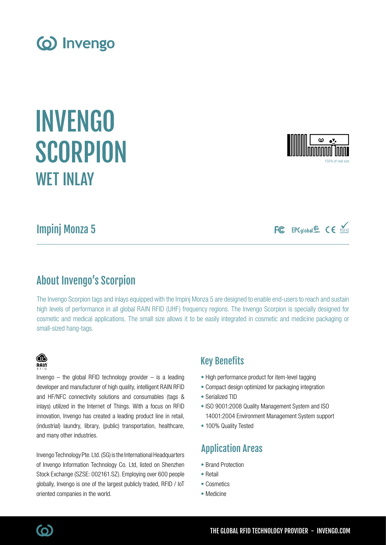Impinj Monza 5

WFT INI AY

# About Invengo's Scorpion

The Invengo Scorpion tags and inlays equipped with the Impinj Monza 5 are designed to enable end-users to reach and sustain high levels of performance in all global RAIN RFID (UHF) frequency regions. The Invengo Scorpion is specially designed for cosmetic and medical applications. The small size allows it to be easily integrated in cosmetic and medicine packaging or small-sized hang-tags.

# Key Benefits

- High performance product for item-level tagging
- Compact design optimized for packaging integration
- Serialized TID
- ISO 9001:2008 Quality Management System and ISO 14001:2004 Environment Management System support
- 100% Quality Tested

# Application Areas

- Brand Protection
- Retail
- Cosmetics
- Medicine

## Invengo Technology Pte. Ltd. (SG) is the International Headquarters of Invengo Information Technology Co. Ltd, listed on Shenzhen Stock Exchange (SZSE: 002161.SZ). Employing over 600 people globally, Invengo is one of the largest publicly traded, RFID / IoT

Invengo  $-$  the global RFID technology provider  $-$  is a leading developer and manufacturer of high quality, intelligent RAIN RFID and HF/NFC connectivity solutions and consumables (tags & inlays) utilized in the Internet of Things. With a focus on RFID innovation, Invengo has created a leading product line in retail, (industrial) laundry, library, (public) transportation, healthcare,

INVENGO

**SCORPION** 







**B**  $R$ ain

and many other industries.

oriented companies in the world.